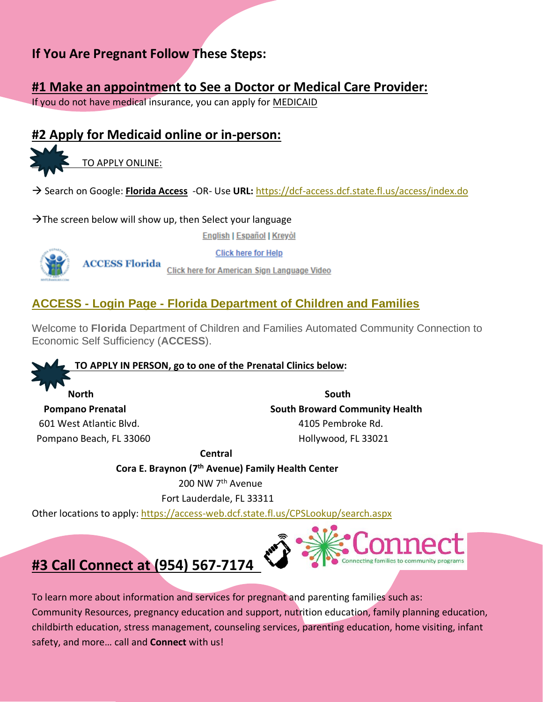# **If You Are Pregnant Follow These Steps:**

#### **#1 Make an appointment to See a Doctor or Medical Care Provider:**

If you do not have medical insurance, you can apply for MEDICAID

## **#2 Apply for Medicaid online or in-person:**

TO APPLY ONLINE:

→ Search on Google: **Florida Access** -OR- Use **URL:** <https://dcf-access.dcf.state.fl.us/access/index.do>

 $\rightarrow$ The screen below will show up, then Select your language

English | Español | Kreyol



**Click here for Help** 

**ACCESS Florida** Click here for American Sign Language Video

#### **ACCESS - Login Page - [Florida Department of Children and Families](file:///C:/Users/mgutierrez/AppData/Local/Microsoft/Windows/INetCache/Content.Outlook/06DUNE7L/ACCESS%20-%20Login%20Page%20-%20Florida%20Department%20of%20Children%20and%20Familieshttps:/dcf-access.dcf.state.fl.us/access/index.do)**

Welcome to **Florida** Department of Children and Families Automated Community Connection to Economic Self Sufficiency (**ACCESS**).

#### **TO APPLY IN PERSON, go to one of the Prenatal Clinics below:**

*Morth* **South** South 601 West Atlantic Blvd. 4105 Pembroke Rd.

**Pompano Prenatal South Broward Community Health** Pompano Beach, FL 33060 **Hollywood, FL 33021** 

 **Central**

 **Cora E. Braynon (7th Avenue) Family Health Center**

200 NW 7th Avenue

Fort Lauderdale, FL 33311

Other locations to apply:<https://access-web.dcf.state.fl.us/CPSLookup/search.aspx>



# **#3 Call Connect at (954) 567-7174**

To learn more about information and services for pregnant and parenting families such as: Community Resources, pregnancy education and support, nutrition education, family planning education, childbirth education, stress management, counseling services, parenting education, home visiting, infant safety, and more… call and **Connect** with us!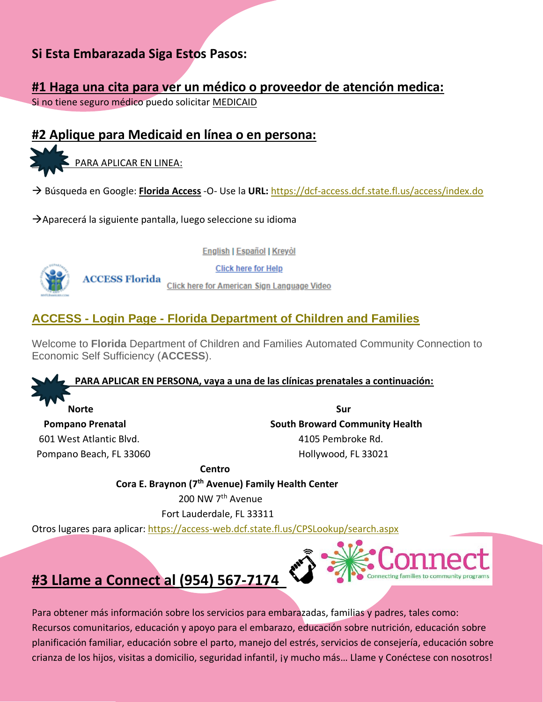## **Si Esta Embarazada Siga Estos Pasos:**

#### **#1 Haga una cita para ver un médico o proveedor de atención medica:**

Si no tiene seguro médico puedo solicitar MEDICAID

## **#2 Aplique para Medicaid en línea o en persona:**

PARA APLICAR EN LINEA:

→ Búsqueda en Google: **Florida Access** -O- Use la **URL:** <https://dcf-access.dcf.state.fl.us/access/index.do>

 $\rightarrow$ Aparecerá la siguiente pantalla, luego seleccione su idioma

**English | Español | Kreyòl** 



**Click here for Help** 

**ACCESS Florida** Click here for American Sign Language Video

#### **ACCESS - Login Page - [Florida Department of Children and Families](file:///C:/Users/mgutierrez/AppData/Local/Microsoft/Windows/INetCache/Content.Outlook/06DUNE7L/ACCESS%20-%20Login%20Page%20-%20Florida%20Department%20of%20Children%20and%20Familieshttps:/dcf-access.dcf.state.fl.us/access/index.do)**

Welcome to **Florida** Department of Children and Families Automated Community Connection to Economic Self Sufficiency (**ACCESS**).

 **PARA APLICAR EN PERSONA, vaya a una de las clínicas prenatales a continuación:** 

 **Norte Sur**

**Pompano Prenatal South Broward Community Health**  601 West Atlantic Blvd. 4105 Pembroke Rd. Pompano Beach, FL 33060 **Hollywood, FL 33021** 

> **Centro Cora E. Braynon (7th Avenue) Family Health Center** 200 NW 7th Avenue

> > Fort Lauderdale, FL 33311

Otros lugares para aplicar:<https://access-web.dcf.state.fl.us/CPSLookup/search.aspx>



# **#3 Llame a Connect al (954) 567-7174**

Para obtener más información sobre los servicios para embarazadas, familias y padres, tales como: Recursos comunitarios, educación y apoyo para el embarazo, educación sobre nutrición, educación sobre planificación familiar, educación sobre el parto, manejo del estrés, servicios de consejería, educación sobre crianza de los hijos, visitas a domicilio, seguridad infantil, ¡y mucho más… Llame y Conéctese con nosotros!